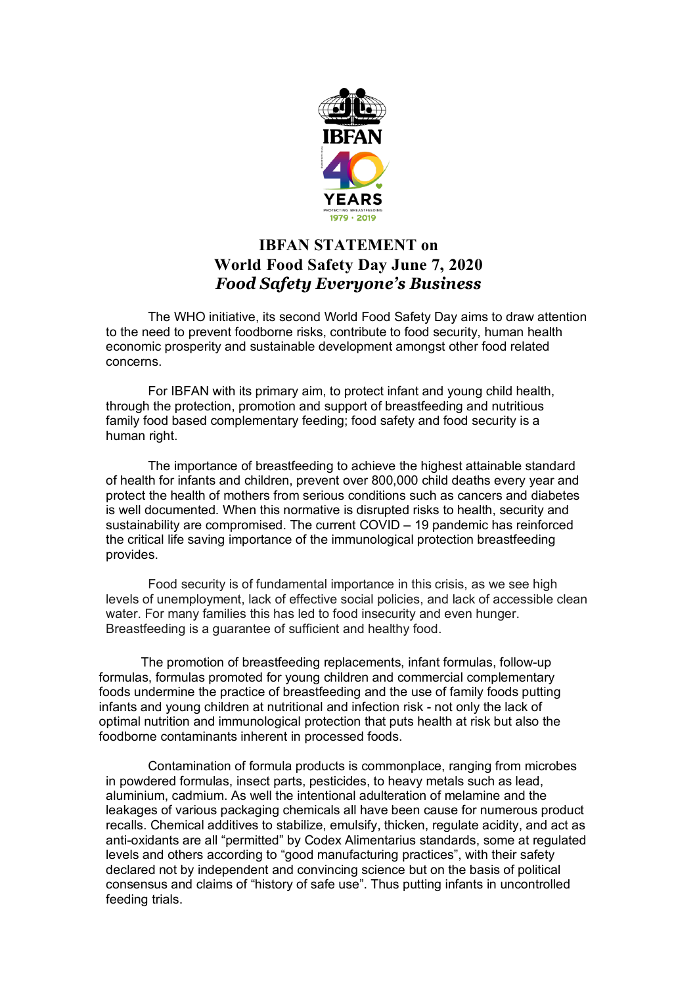

## **IBFAN STATEMENT on World Food Safety Day June 7, 2020** *Food Safety Everyone's Business*

The WHO initiative, its second World Food Safety Day aims to draw attention to the need to prevent foodborne risks, contribute to food security, human health economic prosperity and sustainable development amongst other food related concerns.

For IBFAN with its primary aim, to protect infant and young child health, through the protection, promotion and support of breastfeeding and nutritious family food based complementary feeding; food safety and food security is a human right.

The importance of breastfeeding to achieve the highest attainable standard of health for infants and children, prevent over 800,000 child deaths every year and protect the health of mothers from serious conditions such as cancers and diabetes is well documented. When this normative is disrupted risks to health, security and sustainability are compromised. The current COVID – 19 pandemic has reinforced the critical life saving importance of the immunological protection breastfeeding provides.

Food security is of fundamental importance in this crisis, as we see high levels of unemployment, lack of effective social policies, and lack of accessible clean water. For many families this has led to food insecurity and even hunger. Breastfeeding is a guarantee of sufficient and healthy food.

The promotion of breastfeeding replacements, infant formulas, follow-up formulas, formulas promoted for young children and commercial complementary foods undermine the practice of breastfeeding and the use of family foods putting infants and young children at nutritional and infection risk - not only the lack of optimal nutrition and immunological protection that puts health at risk but also the foodborne contaminants inherent in processed foods.

Contamination of formula products is commonplace, ranging from microbes in powdered formulas, insect parts, pesticides, to heavy metals such as lead, aluminium, cadmium. As well the intentional adulteration of melamine and the leakages of various packaging chemicals all have been cause for numerous product recalls. Chemical additives to stabilize, emulsify, thicken, regulate acidity, and act as anti-oxidants are all "permitted" by Codex Alimentarius standards, some at regulated levels and others according to "good manufacturing practices", with their safety declared not by independent and convincing science but on the basis of political consensus and claims of "history of safe use". Thus putting infants in uncontrolled feeding trials.